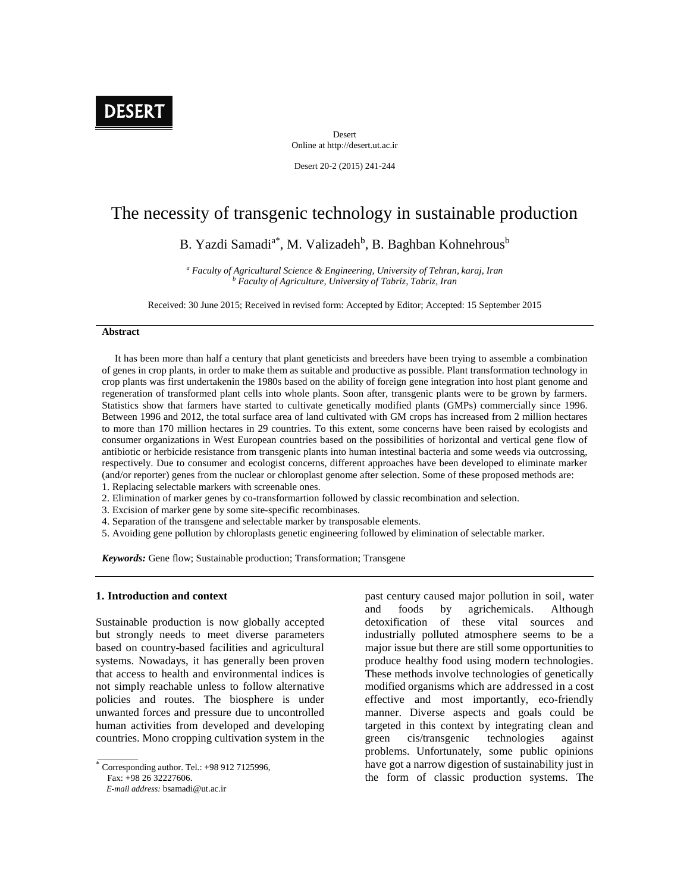

Desert Online at http://desert.ut.ac.ir

Desert 20-2 (2015) 241-244

# The necessity of transgenic technology in sustainable production

# B. Yazdi Samadi<sup>a\*</sup>, M. Valizadeh<sup>b</sup>, B. Baghban Kohnehrous<sup>b</sup>

*<sup>a</sup> Faculty of Agricultural Science & Engineering, University of Tehran, karaj, Iran <sup>b</sup> Faculty of Agriculture, University of Tabriz, Tabriz, Iran*

Received: 30 June 2015; Received in revised form: Accepted by Editor; Accepted: 15 September 2015

#### **Abstract**

It has been more than half a century that plant geneticists and breeders have been trying to assemble a combination of genes in crop plants, in order to make them as suitable and productive as possible. Plant transformation technology in crop plants was first undertakenin the 1980s based on the ability of foreign gene integration into host plant genome and regeneration of transformed plant cells into whole plants. Soon after, transgenic plants were to be grown by farmers. Statistics show that farmers have started to cultivate genetically modified plants (GMPs) commercially since 1996. Between 1996 and 2012, the total surface area of land cultivated with GM crops has increased from 2 million hectares to more than 170 million hectares in 29 countries. To this extent, some concerns have been raised by ecologists and consumer organizations in West European countries based on the possibilities of horizontal and vertical gene flow of antibiotic or herbicide resistance from transgenic plants into human intestinal bacteria and some weeds via outcrossing, respectively. Due to consumer and ecologist concerns, different approaches have been developed to eliminate marker (and/or reporter) genes from the nuclear or chloroplast genome after selection. Some of these proposed methods are:

- 1. Replacing selectable markers with screenable ones.
- 2. Elimination of marker genes by co-transformartion followed by classic recombination and selection.
- 3. Excision of marker gene by some site-specific recombinases.
- 4. Separation of the transgene and selectable marker by transposable elements.
- 5. Avoiding gene pollution by chloroplasts genetic engineering followed by elimination of selectable marker.

*Keywords:* Gene flow; Sustainable production; Transformation; Transgene

## **1. Introduction and context**

Sustainable production is now globally accepted but strongly needs to meet diverse parameters based on country-based facilities and agricultural systems. Nowadays, it has generally been proven that access to health and environmental indices is not simply reachable unless to follow alternative policies and routes. The biosphere is under unwanted forces and pressure due to uncontrolled human activities from developed and developing countries. Mono cropping cultivation system in the

*E-mail address:* bsamadi@ut.ac.ir

past century caused major pollution in soil, water and foods by agrichemicals. Although detoxification of these vital sources and industrially polluted atmosphere seems to be a major issue but there are still some opportunities to produce healthy food using modern technologies. These methods involve technologies of genetically modified organisms which are addressed in a cost effective and most importantly, eco-friendly manner. Diverse aspects and goals could be targeted in this context by integrating clean and green cis/transgenic technologies against problems. Unfortunately, some public opinions have got a narrow digestion of sustainability just in the form of classic production systems. The

Corresponding author. Tel.: +98 912 7125996, Fax: +98 26 32227606.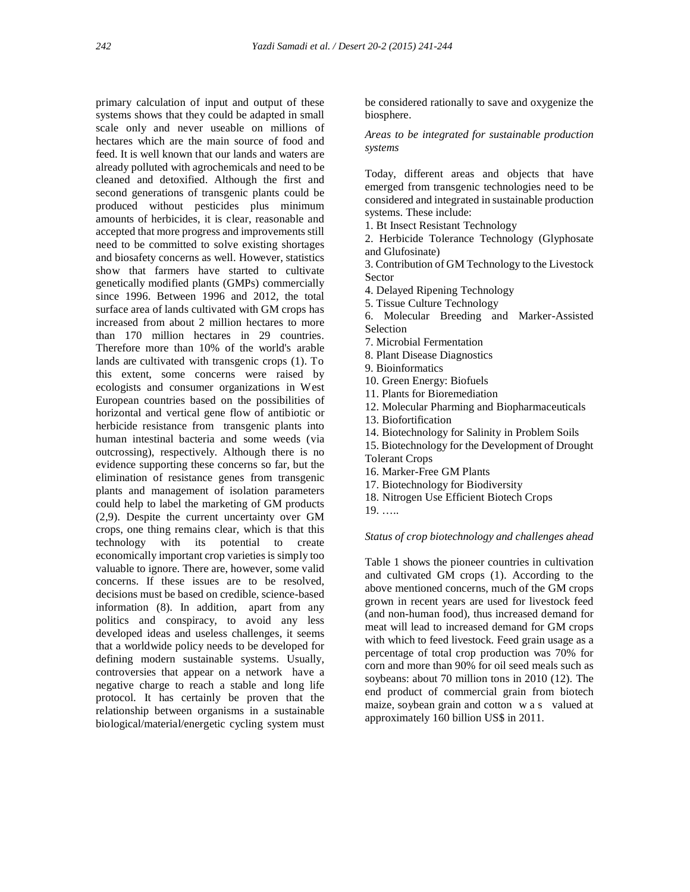primary calculation of input and output of these systems shows that they could be adapted in small scale only and never useable on millions of hectares which are the main source of food and feed. It is well known that our lands and waters are already polluted with agrochemicals and need to be cleaned and detoxified. Although the first and second generations of transgenic plants could be produced without pesticides plus minimum amounts of herbicides, it is clear, reasonable and accepted that more progress and improvements still need to be committed to solve existing shortages and biosafety concerns as well. However, statistics show that farmers have started to cultivate genetically modified plants (GMPs) commercially since 1996. Between 1996 and 2012, the total surface area of lands cultivated with GM crops has increased from about 2 million hectares to more than 170 million hectares in 29 countries. Therefore more than 10% of the world's arable lands are cultivated with transgenic crops (1). To this extent, some concerns were raised by ecologists and consumer organizations in West European countries based on the possibilities of horizontal and vertical gene flow of antibiotic or herbicide resistance from transgenic plants into human intestinal bacteria and some weeds (via outcrossing), respectively. Although there is no evidence supporting these concerns so far, but the elimination of resistance genes from transgenic plants and management of isolation parameters could help to label the marketing of GM products (2,9). Despite the current uncertainty over GM crops, one thing remains clear, which is that this technology with its potential to create economically important crop varieties is simply too valuable to ignore. There are, however, some valid concerns. If these issues are to be resolved, decisions must be based on credible, science-based information (8). In addition, apart from any politics and conspiracy, to avoid any less developed ideas and useless challenges, it seems that a worldwide policy needs to be developed for defining modern sustainable systems. Usually, controversies that appear on a network have a negative charge to reach a stable and long life protocol. It has certainly be proven that the relationship between organisms in a sustainable biological/material/energetic cycling system must

be considered rationally to save and oxygenize the biosphere.

*Areas to be integrated for sustainable production systems*

Today, different areas and objects that have emerged from transgenic technologies need to be considered and integrated in sustainable production systems. These include:

1. Bt Insect Resistant Technology

2. Herbicide Tolerance Technology (Glyphosate and Glufosinate)

3. Contribution of GM Technology to the Livestock Sector

4. Delayed Ripening Technology

5. Tissue Culture Technology

6. Molecular Breeding and Marker-Assisted Selection

7. Microbial Fermentation

8. Plant Disease Diagnostics

- 9. Bioinformatics
- 10. Green Energy: Biofuels
- 11. Plants for Bioremediation
- 12. Molecular Pharming and Biopharmaceuticals
- 13. Biofortification
- 14. Biotechnology for Salinity in Problem Soils

15. Biotechnology for the Development of Drought Tolerant Crops

- 16. Marker-Free GM Plants
- 17. Biotechnology for Biodiversity
- 18. Nitrogen Use Efficient Biotech Crops
- 19. …..

#### *Status of crop biotechnology and challenges ahead*

Table 1 shows the pioneer countries in cultivation and cultivated GM crops (1). According to the above mentioned concerns, much of the GM crops grown in recent years are used for livestock feed (and non-human food), thus increased demand for meat will lead to increased demand for GM crops with which to feed livestock. Feed grain usage as a percentage of total crop production was 70% for corn and more than 90% for oil seed meals such as soybeans: about 70 million tons in 2010 (12). The end product of commercial grain from biotech with which to feed livestock. Feed grain usage as a<br>percentage of total crop production was 70% for<br>corn and more than 90% for oil seed meals such as<br>soybeans: about 70 million tons in 2010 (12). The<br>end product of commerc approximately 160 billion US\$ in 2011.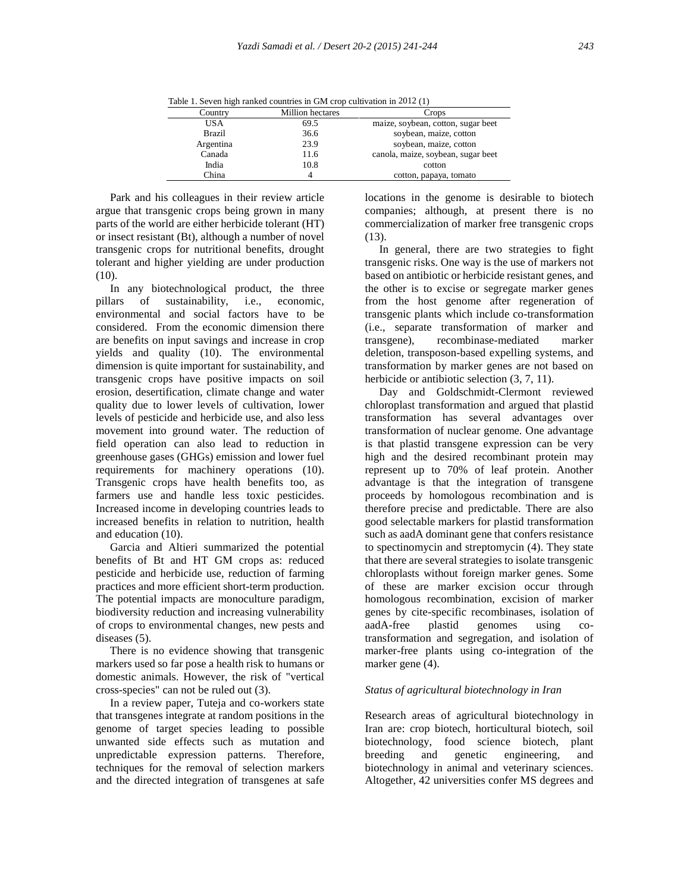Table 1. Seven high ranked countries in GM crop cultivation in 2012 (1)

| Country       | <b>Million</b> hectares | Crops                              |
|---------------|-------------------------|------------------------------------|
| USA           | 69.5                    | maize, soybean, cotton, sugar beet |
| <b>Brazil</b> | 36.6                    | soybean, maize, cotton             |
| Argentina     | 23.9                    | soybean, maize, cotton             |
| Canada        | 11.6                    | canola, maize, soybean, sugar beet |
| India         | 10.8                    | cotton                             |
| China         |                         | cotton, papaya, tomato             |

Park and his colleagues in their review article argue that transgenic crops being grown in many parts of the world are either herbicide tolerant (HT) or insect resistant (Bt), although a number of novel transgenic crops for nutritional benefits, drought tolerant and higher yielding are under production  $(10)$ .

In any biotechnological product, the three pillars of sustainability, i.e., economic, environmental and social factors have to be considered. From the economic dimension there are benefits on input savings and increase in crop yields and quality (10). The environmental dimension is quite important for sustainability, and transgenic crops have positive impacts on soil erosion, desertification, climate change and water quality due to lower levels of cultivation, lower levels of pesticide and herbicide use, and also less movement into ground water. The reduction of field operation can also lead to reduction in greenhouse gases (GHGs) emission and lower fuel requirements for machinery operations (10). Transgenic crops have health benefits too, as farmers use and handle less toxic pesticides. Increased income in developing countries leads to increased benefits in relation to nutrition, health and education (10).

Garcia and Altieri summarized the potential benefits of Bt and HT GM crops as: reduced pesticide and herbicide use, reduction of farming practices and more efficient short-term production. The potential impacts are monoculture paradigm, biodiversity reduction and increasing vulnerability of crops to environmental changes, new pests and diseases (5).

There is no evidence showing that transgenic markers used so far pose a health risk to humans or domestic animals. However, the risk of "vertical cross-species" can not be ruled out (3).

In a review paper, Tuteja and co-workers state that transgenes integrate at random positions in the genome of target species leading to possible unwanted side effects such as mutation and unpredictable expression patterns. Therefore, techniques for the removal of selection markers and the directed integration of transgenes at safe

locations in the genome is desirable to biotech companies; although, at present there is no commercialization of marker free transgenic crops (13).

In general, there are two strategies to fight transgenic risks. One way is the use of markers not based on antibiotic or herbicide resistant genes, and the other is to excise or segregate marker genes from the host genome after regeneration of transgenic plants which include co-transformation (i.e., separate transformation of marker and recombinase-mediated marker deletion, transposon-based expelling systems, and transformation by marker genes are not based on herbicide or antibiotic selection (3, 7, 11).

Day and Goldschmidt-Clermont reviewed chloroplast transformation and argued that plastid transformation has several advantages over transformation of nuclear genome. One advantage is that plastid transgene expression can be very high and the desired recombinant protein may represent up to 70% of leaf protein. Another advantage is that the integration of transgene proceeds by homologous recombination and is therefore precise and predictable. There are also good selectable markers for plastid transformation such as aadA dominant gene that confers resistance to spectinomycin and streptomycin (4). They state that there are several strategies to isolate transgenic chloroplasts without foreign marker genes. Some of these are marker excision occur through homologous recombination, excision of marker genes by cite-specific recombinases, isolation of aadA-free plastid genomes using cotransformation and segregation, and isolation of marker-free plants using co-integration of the marker gene (4).

## *Status of agricultural biotechnology in Iran*

Research areas of agricultural biotechnology in Iran are: crop biotech, horticultural biotech, soil biotechnology, food science biotech, plant breeding and genetic engineering, and biotechnology in animal and veterinary sciences. Altogether, 42 universities confer MS degrees and